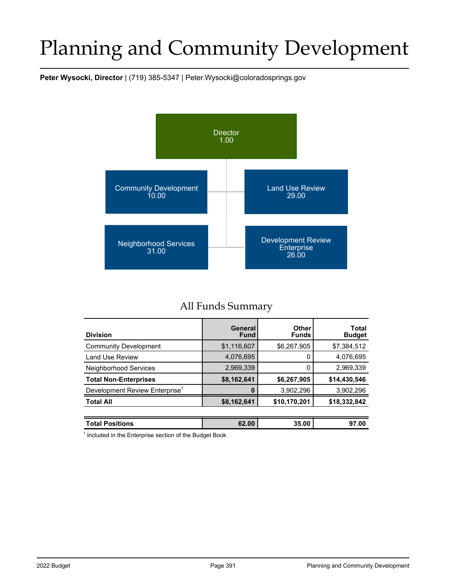# Planning and Community Development

**Peter Wysocki, Director** | (719) 385-5347 | Peter.Wysocki@coloradosprings.gov



# All Funds Summary

| <b>Division</b>                            | <b>General</b><br><b>Fund</b> | Other<br><b>Funds</b> | <b>Total</b><br><b>Budget</b> |
|--------------------------------------------|-------------------------------|-----------------------|-------------------------------|
| <b>Community Development</b>               | \$1,116,607                   | \$6,267,905           | \$7,384,512                   |
| <b>Land Use Review</b>                     | 4,076,695                     | 0                     | 4,076,695                     |
| Neighborhood Services                      | 2,969,339                     | 0                     | 2,969,339                     |
| <b>Total Non-Enterprises</b>               | \$8,162,641                   | \$6,267,905           | \$14,430,546                  |
| Development Review Enterprise <sup>1</sup> | ŋ                             | 3,902,296             | 3,902,296                     |
| <b>Total All</b>                           | \$8,162,641                   | \$10,170,201          | \$18,332,842                  |
|                                            |                               |                       |                               |
| <b>Total Positions</b>                     | 62.00                         | 35.00                 | 97.00                         |

 $1$  Included in the Enterprise section of the Budget Book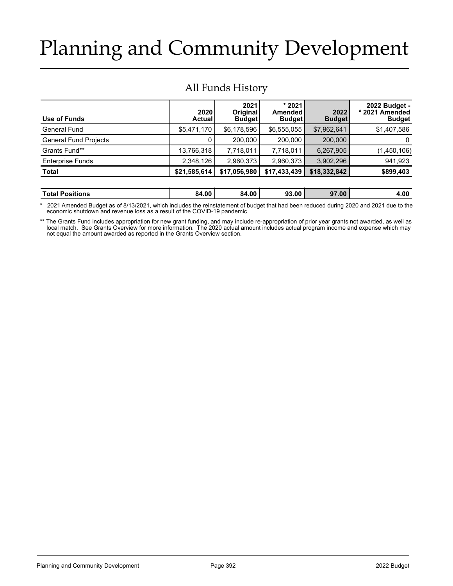# Planning and Community Development

# All Funds History

| Use of Funds                 | 2020<br><b>Actual</b> | 2021<br>Original<br><b>Budget</b> | $*2021$<br>Amended I<br><b>Budget</b> | 2022<br><b>Budget</b> | 2022 Budget -<br>* 2021 Amended<br><b>Budget</b> |
|------------------------------|-----------------------|-----------------------------------|---------------------------------------|-----------------------|--------------------------------------------------|
| General Fund                 | \$5,471,170           | \$6,178,596                       | \$6,555,055                           | \$7,962,641           | \$1,407,586                                      |
| <b>General Fund Projects</b> |                       | 200.000                           | 200,000                               | 200,000               | 0                                                |
| Grants Fund**                | 13,766,318            | 7,718,011                         | 7,718,011                             | 6,267,905             | (1,450,106)                                      |
| <b>Enterprise Funds</b>      | 2,348,126             | 2,960,373                         | 2,960,373                             | 3,902,296             | 941,923                                          |
| Total                        | \$21,585,614          | \$17,056,980                      | \$17,433,439                          | \$18,332,842          | \$899,403                                        |

| Total.<br><br>Positions<br>. | 84.00 | 84.00 | 93.00 | 97.00 | 4.00 |
|------------------------------|-------|-------|-------|-------|------|
|                              |       |       |       |       |      |

\* 2021 Amended Budget as of 8/13/2021, which includes the reinstatement of budget that had been reduced during 2020 and 2021 due to the economic shutdown and revenue loss as a result of the COVID-19 pandemic

\*\* The Grants Fund includes appropriation for new grant funding, and may include re-appropriation of prior year grants not awarded, as well as local match. See Grants Overview for more information. The 2020 actual amount includes actual program income and expense which may not equal the amount awarded as reported in the Grants Overview section.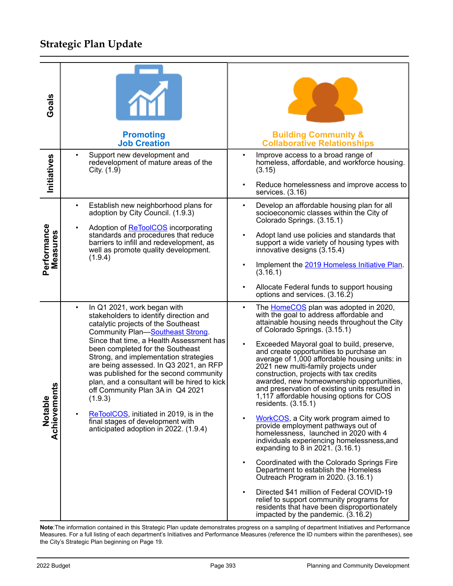| Goals                       | <b>Promoting</b><br><b>Job Creation</b>                                                                                                                                                                                                                                                                                                                                                                                                                                                                                                                                                                        | <b>Building Community &amp;</b><br><b>Collaborative Relationships</b>                                                                                                                                                                                                                                                                                                                                                                                                                                                                                                                                                                                                                                                                                                                                                                                                                                                                                                                                                                                                                                       |
|-----------------------------|----------------------------------------------------------------------------------------------------------------------------------------------------------------------------------------------------------------------------------------------------------------------------------------------------------------------------------------------------------------------------------------------------------------------------------------------------------------------------------------------------------------------------------------------------------------------------------------------------------------|-------------------------------------------------------------------------------------------------------------------------------------------------------------------------------------------------------------------------------------------------------------------------------------------------------------------------------------------------------------------------------------------------------------------------------------------------------------------------------------------------------------------------------------------------------------------------------------------------------------------------------------------------------------------------------------------------------------------------------------------------------------------------------------------------------------------------------------------------------------------------------------------------------------------------------------------------------------------------------------------------------------------------------------------------------------------------------------------------------------|
| hitiatives                  | Support new development and<br>$\bullet$<br>redevelopment of mature areas of the<br>City. (1.9)                                                                                                                                                                                                                                                                                                                                                                                                                                                                                                                | Improve access to a broad range of<br>$\bullet$<br>homeless, affordable, and workforce housing.<br>(3.15)<br>Reduce homelessness and improve access to<br>services. (3.16)                                                                                                                                                                                                                                                                                                                                                                                                                                                                                                                                                                                                                                                                                                                                                                                                                                                                                                                                  |
| Performance<br>Measures     | Establish new neighborhood plans for<br>$\bullet$<br>adoption by City Council. (1.9.3)<br>Adoption of ReToolCOS incorporating<br>$\bullet$<br>standards and procedures that reduce<br>barriers to infill and redevelopment, as<br>well as promote quality development.<br>(1.9.4)                                                                                                                                                                                                                                                                                                                              | Develop an affordable housing plan for all<br>٠<br>socioeconomic classes within the City of<br>Colorado Springs. (3.15.1)<br>Adopt land use policies and standards that<br>support a wide variety of housing types with<br>innovative designs (3.15.4)<br>Implement the 2019 Homeless Initiative Plan.<br>(3.16.1)<br>Allocate Federal funds to support housing<br>options and services. (3.16.2)                                                                                                                                                                                                                                                                                                                                                                                                                                                                                                                                                                                                                                                                                                           |
| îç<br>Notable<br>Achievemen | In Q1 2021, work began with<br>$\bullet$<br>stakeholders to identify direction and<br>catalytic projects of the Southeast<br>Community Plan-Southeast Strong.<br>Since that time, a Health Assessment has<br>been completed for the Southeast<br>Strong, and implementation strategies<br>are being assessed. In Q3 2021, an RFP<br>was published for the second community<br>plan, and a consultant will be hired to kick<br>off Community Plan 3A in Q4 2021<br>(1.9.3)<br>ReToolCOS, initiated in 2019, is in the<br>$\bullet$<br>final stages of development with<br>anticipated adoption in 2022. (1.9.4) | The <b>HomeCOS</b> plan was adopted in 2020,<br>٠<br>with the goal to address affordable and<br>attainable housing needs throughout the City<br>of Colorado Springs. (3.15.1)<br>Exceeded Mayoral goal to build, preserve,<br>٠<br>and create opportunities to purchase an<br>average of 1,000 affordable housing units: in<br>2021 new multi-family projects under<br>construction, projects with tax credits<br>awarded, new homeownership opportunities,<br>and preservation of existing units resulted in<br>1,117 affordable housing options for COS<br>residents. $(3.15.1)$<br>WorkCOS, a City work program aimed to<br>provide employment pathways out of<br>homelessness, launched in 2020 with 4<br>individuals experiencing homelessness, and<br>expanding to 8 in 2021. (3.16.1)<br>Coordinated with the Colorado Springs Fire<br>٠<br>Department to establish the Homeless<br>Outreach Program in 2020. (3.16.1)<br>Directed \$41 million of Federal COVID-19<br>relief to support community programs for<br>residents that have been disproportionately<br>impacted by the pandemic. (3.16.2) |

**Note**:The information contained in this Strategic Plan update demonstrates progress on a sampling of department Initiatives and Performance Measures. For a full listing of each department's Initiatives and Performance Measures (reference the ID numbers within the parentheses), see the City's Strategic Plan beginning on Page 19.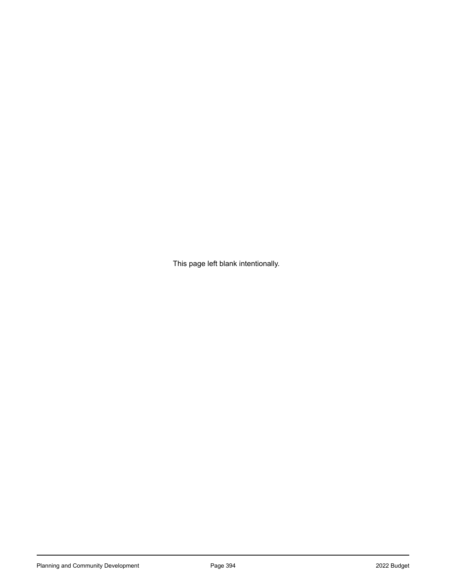This page left blank intentionally.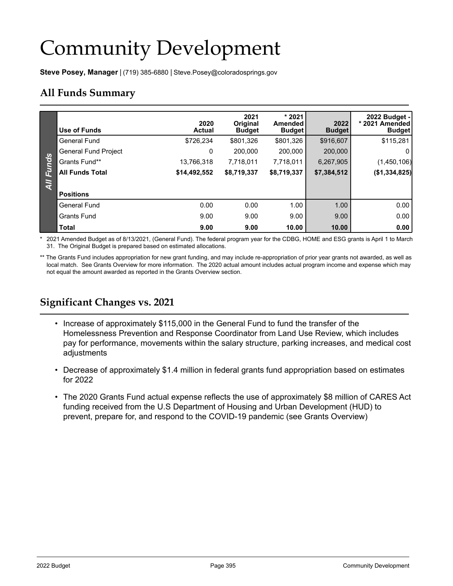# Community Development

**Steve Posey, Manager** | (719) 385-6880 | Steve.Posey@coloradosprings.gov

# **All Funds Summary**

|                | Use of Funds                | 2020<br><b>Actual</b> | 2021<br><b>Original</b><br><b>Budget</b> | $*2021$<br><b>Amended</b><br><b>Budget</b> | 2022<br><b>Budget</b> | 2022 Budget -<br>* 2021 Amended<br><b>Budget</b> |
|----------------|-----------------------------|-----------------------|------------------------------------------|--------------------------------------------|-----------------------|--------------------------------------------------|
|                | General Fund                | \$726,234             | \$801,326                                | \$801,326                                  | \$916,607             | \$115,281                                        |
|                | <b>General Fund Project</b> | 0                     | 200,000                                  | 200,000                                    | 200,000               | 0                                                |
| <b>ands</b>    | Grants Fund**               | 13,766,318            | 7,718,011                                | 7,718,011                                  | 6,267,905             | (1,450,106)                                      |
| F              | <b>All Funds Total</b>      | \$14,492,552          | \$8,719,337                              | \$8,719,337                                | \$7,384,512           | (\$1,334,825)                                    |
| $\overline{4}$ |                             |                       |                                          |                                            |                       |                                                  |
|                | <b>Positions</b>            |                       |                                          |                                            |                       |                                                  |
|                | General Fund                | 0.00                  | 0.00                                     | 1.00                                       | 1.00                  | 0.00                                             |
|                | Grants Fund                 | 9.00                  | 9.00                                     | 9.00                                       | 9.00                  | 0.00                                             |
|                | <b>Total</b>                | 9.00                  | 9.00                                     | 10.00                                      | 10.00                 | 0.00                                             |

\* 2021 Amended Budget as of 8/13/2021, (General Fund). The federal program year for the CDBG, HOME and ESG grants is April 1 to March 31. The Original Budget is prepared based on estimated allocations.

\*\* The Grants Fund includes appropriation for new grant funding, and may include re-appropriation of prior year grants not awarded, as well as local match. See Grants Overview for more information. The 2020 actual amount includes actual program income and expense which may not equal the amount awarded as reported in the Grants Overview section.

# **Significant Changes vs. 2021**

- Increase of approximately \$115,000 in the General Fund to fund the transfer of the Homelessness Prevention and Response Coordinator from Land Use Review, which includes pay for performance, movements within the salary structure, parking increases, and medical cost adjustments
- Decrease of approximately \$1.4 million in federal grants fund appropriation based on estimates for 2022
- The 2020 Grants Fund actual expense reflects the use of approximately \$8 million of CARES Act funding received from the U.S Department of Housing and Urban Development (HUD) to prevent, prepare for, and respond to the COVID-19 pandemic (see Grants Overview)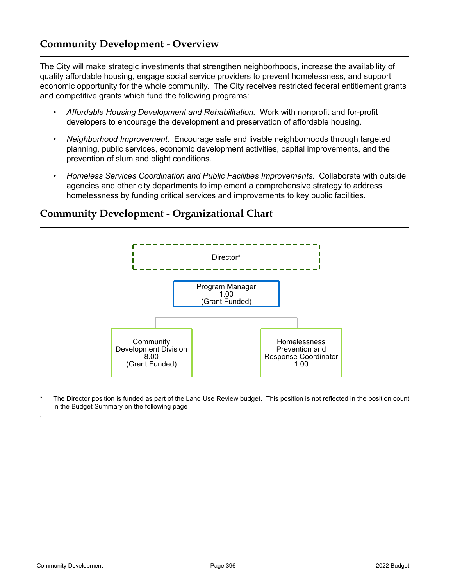# **Community Development - Overview**

The City will make strategic investments that strengthen neighborhoods, increase the availability of quality affordable housing, engage social service providers to prevent homelessness, and support economic opportunity for the whole community. The City receives restricted federal entitlement grants and competitive grants which fund the following programs:

- *• Affordable Housing Development and Rehabilitation.* Work with nonprofit and for-profit developers to encourage the development and preservation of affordable housing.
- *• Neighborhood Improvement.* Encourage safe and livable neighborhoods through targeted planning, public services, economic development activities, capital improvements, and the prevention of slum and blight conditions.
- *• Homeless Services Coordination and Public Facilities Improvements.* Collaborate with outside agencies and other city departments to implement a comprehensive strategy to address homelessness by funding critical services and improvements to key public facilities.



## **Community Development - Organizational Chart**

The Director position is funded as part of the Land Use Review budget. This position is not reflected in the position count in the Budget Summary on the following page

.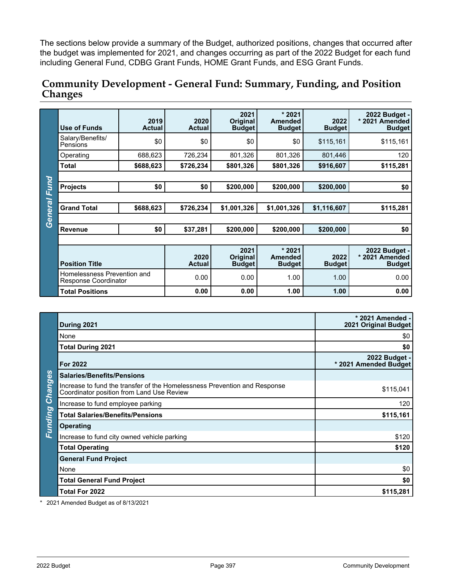The sections below provide a summary of the Budget, authorized positions, changes that occurred after the budget was implemented for 2021, and changes occurring as part of the 2022 Budget for each fund including General Fund, CDBG Grant Funds, HOME Grant Funds, and ESG Grant Funds.

# **Community Development - General Fund: Summary, Funding, and Position Changes**

|         | <b>Use of Funds</b>                                 | 2019<br><b>Actual</b> | 2020<br><b>Actual</b> | 2021<br>Original<br><b>Budget</b>        | $*2021$<br><b>Amended</b><br><b>Budget</b> | 2022<br><b>Budget</b> | 2022 Budget -<br>* 2021 Amended<br><b>Budget</b> |  |  |  |
|---------|-----------------------------------------------------|-----------------------|-----------------------|------------------------------------------|--------------------------------------------|-----------------------|--------------------------------------------------|--|--|--|
|         | Salary/Benefits/<br>Pensions                        | \$0                   | \$0                   | \$0                                      | \$0                                        | \$115,161             | \$115,161                                        |  |  |  |
|         | Operating                                           | 688,623               | 726,234               | 801,326                                  | 801,326                                    | 801,446               | 120                                              |  |  |  |
|         | <b>Total</b>                                        | \$688,623             | \$726,234             | \$801,326                                | \$801,326                                  | \$916,607             | \$115,281                                        |  |  |  |
|         |                                                     |                       |                       |                                          |                                            |                       |                                                  |  |  |  |
| Fund    | <b>Projects</b>                                     | \$0                   | \$0                   | \$200,000                                | \$200,000                                  | \$200,000             | \$0                                              |  |  |  |
|         |                                                     |                       |                       |                                          |                                            |                       |                                                  |  |  |  |
|         | <b>Grand Total</b>                                  | \$688,623             | \$726,234             | \$1,001,326                              | \$1,001,326                                | \$1,116,607           | \$115,281                                        |  |  |  |
| General |                                                     |                       |                       |                                          |                                            |                       |                                                  |  |  |  |
|         | <b>Revenue</b>                                      | \$0                   | \$37,281              | \$200,000                                | \$200,000                                  | \$200,000             | \$0                                              |  |  |  |
|         |                                                     |                       |                       |                                          |                                            |                       |                                                  |  |  |  |
|         | <b>Position Title</b>                               |                       | 2020<br><b>Actual</b> | 2021<br><b>Original</b><br><b>Budget</b> | $*2021$<br><b>Amended</b><br><b>Budget</b> | 2022<br><b>Budget</b> | 2022 Budget -<br>* 2021 Amended<br><b>Budget</b> |  |  |  |
|         | Homelessness Prevention and<br>Response Coordinator |                       | 0.00                  | 0.00                                     | 1.00                                       | 1.00                  | 0.00                                             |  |  |  |
|         | <b>Total Positions</b>                              |                       | 0.00                  | 0.00                                     | 1.00                                       | 1.00                  | 0.00                                             |  |  |  |

|                | During 2021                                                                                                            | * 2021 Amended -<br>2021 Original Budget |
|----------------|------------------------------------------------------------------------------------------------------------------------|------------------------------------------|
|                | None                                                                                                                   | \$0                                      |
|                | <b>Total During 2021</b>                                                                                               | \$0                                      |
|                | <b>For 2022</b>                                                                                                        | 2022 Budget -<br>* 2021 Amended Budget   |
|                | <b>Salaries/Benefits/Pensions</b>                                                                                      |                                          |
| Changes        | Increase to fund the transfer of the Homelessness Prevention and Response<br>Coordinator position from Land Use Review | \$115,041                                |
|                | Increase to fund employee parking                                                                                      | 120                                      |
| <b>Funding</b> | <b>Total Salaries/Benefits/Pensions</b>                                                                                | \$115,161                                |
|                | <b>Operating</b>                                                                                                       |                                          |
|                | Increase to fund city owned vehicle parking                                                                            | \$120                                    |
|                | <b>Total Operating</b>                                                                                                 | \$120                                    |
|                | <b>General Fund Project</b>                                                                                            |                                          |
|                | None                                                                                                                   | \$0                                      |
|                | <b>Total General Fund Project</b>                                                                                      | \$0                                      |
|                | <b>Total For 2022</b>                                                                                                  | \$115,281                                |

\* 2021 Amended Budget as of 8/13/2021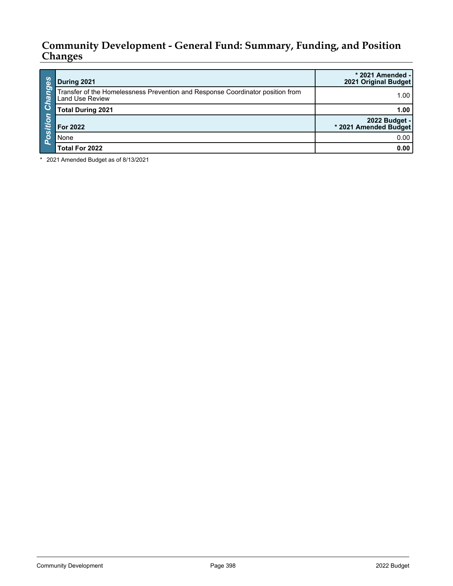# **Community Development - General Fund: Summary, Funding, and Position Changes**

| ဖိ      | During 2021                                                                                       | * 2021 Amended -<br>2021 Original Budget |
|---------|---------------------------------------------------------------------------------------------------|------------------------------------------|
| pa<br>Œ | Transfer of the Homelessness Prevention and Response Coordinator position from<br>Land Use Review | 1.00                                     |
|         | <b>Total During 2021</b>                                                                          | 1.00                                     |
|         | For 2022                                                                                          | 2022 Budget -<br>* 2021 Amended Budget   |
| G<br>Ó  | l None                                                                                            | 0.00                                     |
|         | Total For 2022                                                                                    | 0.00                                     |

\* 2021 Amended Budget as of 8/13/2021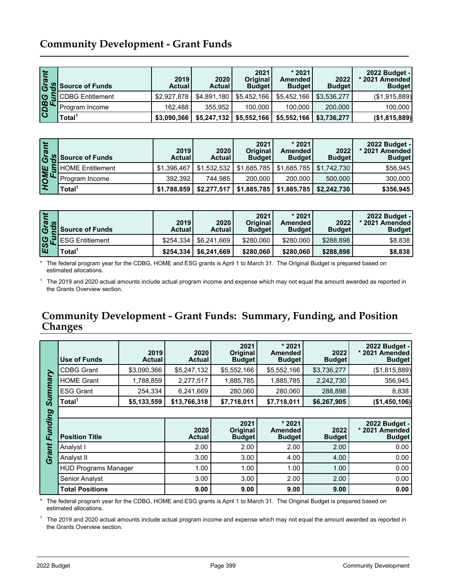# **Community Development - Grant Funds**

| l E  | ြီ မွှ Source of Funds | 2019<br>Actual | 2020<br><b>Actual</b> | 2021<br><b>Original</b><br><b>Budget</b> | $*2021$<br>Amended I<br><b>Budget</b> | <b>20221</b><br><b>Budget</b> | 2022 Budget -<br>* 2021 Amended<br><b>Budget</b> |
|------|------------------------|----------------|-----------------------|------------------------------------------|---------------------------------------|-------------------------------|--------------------------------------------------|
|      | CDBG Entitlement       | \$2,927,878    | \$4.891.180           | \$5,452,166                              | \$5.452.166                           | \$3.536.277                   | (\$1,915,889)                                    |
| CDBG | Program Income         | 162.488        | 355.952               | 100.000                                  | 100.000                               | 200,000                       | 100.000                                          |
|      | Total <sup>1</sup>     | \$3.090.366    | \$5,247,132           | \$5,552,166                              | \$5,552,166                           | \$3,736,277                   | (\$1,815,889)                                    |

|             | te<br><b>G</b><br>Source of Funds | 2019<br><b>Actual</b> | 2020<br><b>Actual</b> | 2021<br>Original<br><b>Budget</b> | $*2021$<br>Amended<br><b>Budget</b> | 2022<br><b>Budget</b> | 2022 Budget -<br>* 2021 Amended<br><b>Budget</b> |
|-------------|-----------------------------------|-----------------------|-----------------------|-----------------------------------|-------------------------------------|-----------------------|--------------------------------------------------|
|             | HOME Entitlement                  | \$1.396.467           | \$1.532.532           | \$1.685.785                       | \$1.685.785                         | \$1.742.730           | \$56,945                                         |
| <b>HOME</b> | Program Income                    | 392.392               | 744.985               | 200,000                           | 200,000                             | 500,000               | 300,000                                          |
|             | Total <sup>1</sup>                | \$1.788.859           | \$2,277,517           | \$1,885,785                       | \$1,885,785                         | \$2,242,730           | \$356.945                                        |

|           | termanded<br>Source of Funds | 2019<br><b>Actual</b> | 2020<br><b>Actual</b> | 2021<br>Original<br><b>Budget</b> | $*2021$<br>Amended I<br><b>Budget</b> | 2022<br><b>Budget</b> | 2022 Budget -<br>* 2021 Amended<br><b>Budget</b> |
|-----------|------------------------------|-----------------------|-----------------------|-----------------------------------|---------------------------------------|-----------------------|--------------------------------------------------|
| ESG<br>Fu | <b>ESG Entitlement</b>       | \$254.334             | \$6,241,669           | \$280.060                         | \$280.060                             | \$288.898             | \$8,838                                          |
|           | Total <sup>1</sup>           | \$254.334             | \$6.241.669           | \$280.060                         | \$280.060                             | \$288.898             | \$8,838                                          |

\* The federal program year for the CDBG, HOME and ESG grants is April 1 to March 31. The Original Budget is prepared based on estimated allocations.

1 The 2019 and 2020 actual amounts include actual program income and expense which may not equal the amount awarded as reported in the Grants Overview section.

# **Community Development - Grant Funds: Summary, Funding, and Position Changes**

|         | Use of Funds                | 2019<br><b>Actual</b> | 2020<br><b>Actual</b> | 2021<br>Original<br><b>Budget</b>        | $*2021$<br>Amended<br><b>Budget</b>        | 2022<br><b>Budget</b> | 2022 Budget -<br>* 2021 Amended<br><b>Budget</b> |
|---------|-----------------------------|-----------------------|-----------------------|------------------------------------------|--------------------------------------------|-----------------------|--------------------------------------------------|
|         | CDBG Grant                  | \$3,090,366           | \$5,247,132           | \$5,552,166                              | \$5,552,166                                | \$3,736,277           | (\$1,815,889)                                    |
| Summary | <b>HOME Grant</b>           | 1,788,859             | 2,277,517             | 1,885,785                                | 1,885,785                                  | 2,242,730             | 356,945                                          |
|         | <b>ESG Grant</b>            | 254,334               | 6,241,669             | 280,060                                  | 280,060                                    | 288,898               | 8,838                                            |
|         | Total <sup>1</sup>          | \$5,133,559           | \$13,766,318          | \$7,718,011                              | \$7,718,011                                | \$6,267,905           | (\$1,450,106)                                    |
|         |                             |                       |                       |                                          |                                            |                       |                                                  |
|         |                             |                       |                       |                                          |                                            |                       |                                                  |
| Funding | <b>Position Title</b>       |                       | 2020<br><b>Actual</b> | 2021<br><b>Original</b><br><b>Budget</b> | $*2021$<br><b>Amended</b><br><b>Budget</b> | 2022<br><b>Budget</b> | 2022 Budget -<br>* 2021 Amended<br><b>Budget</b> |
|         | Analyst I                   |                       | 2.00                  | 2.00                                     | 2.00                                       | 2.00                  | 0.00                                             |
|         | Analyst II                  |                       | 3.00                  | 3.00                                     | 4.00                                       | 4.00                  | 0.00                                             |
| Grant   | <b>HUD Programs Manager</b> |                       | 1.00                  | 1.00                                     | 1.00                                       | 1.00                  | 0.00                                             |
|         | <b>Senior Analyst</b>       |                       | 3.00                  | 3.00                                     | 2.00                                       | 2.00                  | 0.00                                             |

\* The federal program year for the CDBG, HOME and ESG grants is April 1 to March 31. The Original Budget is prepared based on estimated allocations.

 $1$  The 2019 and 2020 actual amounts include actual program income and expense which may not equal the amount awarded as reported in the Grants Overview section.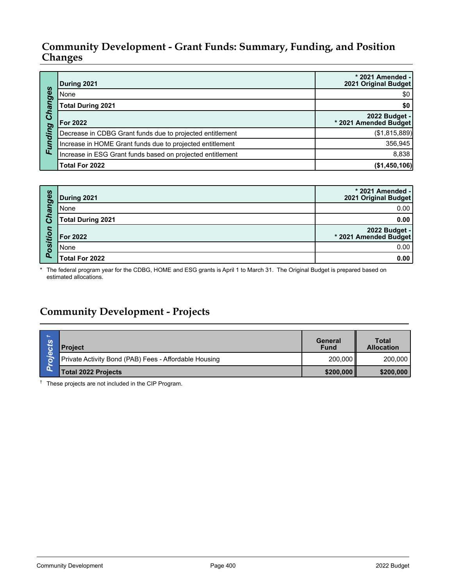# **Community Development - Grant Funds: Summary, Funding, and Position Changes**

|         | During 2021                                                | * 2021 Amended -<br>2021 Original Budget |
|---------|------------------------------------------------------------|------------------------------------------|
|         | None                                                       | \$0                                      |
| Changes | <b>Total During 2021</b>                                   | \$0                                      |
|         | For 2022                                                   | 2022 Budget -<br>* 2021 Amended Budget   |
| Funding | Decrease in CDBG Grant funds due to projected entitlement  | (\$1,815,889)                            |
|         | Increase in HOME Grant funds due to projected entitlement  | 356,945                                  |
|         | Increase in ESG Grant funds based on projected entitlement | 8,838                                    |
|         | Total For 2022                                             | (\$1,450,106)                            |

| Changes | During 2021              | * 2021 Amended -<br>2021 Original Budget |
|---------|--------------------------|------------------------------------------|
|         | None                     | 0.00                                     |
|         | <b>Total During 2021</b> | 0.00                                     |
| osition | <b>For 2022</b>          | - 2022 Budget<br>2021 Amended Budget     |
|         | None                     | 0.00                                     |
| O.      | Total For 2022           | 0.00                                     |

\* The federal program year for the CDBG, HOME and ESG grants is April 1 to March 31. The Original Budget is prepared based on estimated allocations.

# **Community Development - Projects**

| $\rightarrow$<br>- ທ | Proiect                                               | General<br><b>Fund</b> | <b>Total</b><br><b>Allocation</b> |
|----------------------|-------------------------------------------------------|------------------------|-----------------------------------|
| $\omega$             | Private Activity Bond (PAB) Fees - Affordable Housing | 200.000 ll             | 200,000                           |
|                      | <b>Total 2022 Projects</b>                            | \$200,000              | \$200,000                         |

<sup>†</sup> These projects are not included in the CIP Program.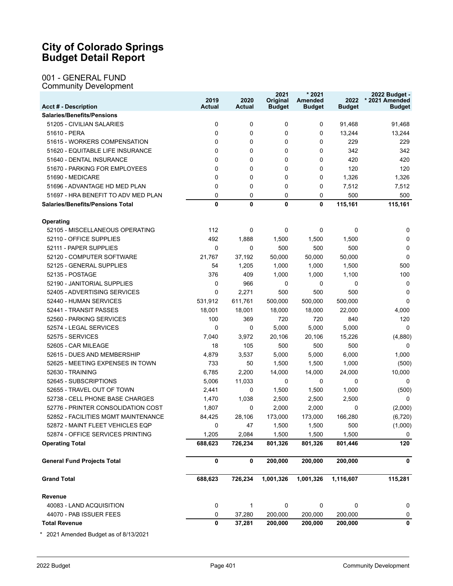### 001 - GENERAL FUND

Community Development

|                                         | 2019    | 2020     | 2021<br>Original | $*2021$<br>Amended | 2022          | 2022 Budget -<br>* 2021 Amended |
|-----------------------------------------|---------|----------|------------------|--------------------|---------------|---------------------------------|
| <b>Acct # - Description</b>             | Actual  | Actual   | <b>Budget</b>    | <b>Budget</b>      | <b>Budget</b> | <b>Budget</b>                   |
| <b>Salaries/Benefits/Pensions</b>       |         |          |                  |                    |               |                                 |
| 51205 - CIVILIAN SALARIES               | 0       | 0        | 0                | 0                  | 91,468        | 91,468                          |
| 51610 - PERA                            | 0       | 0        | 0                | 0                  | 13,244        | 13,244                          |
| 51615 - WORKERS COMPENSATION            | 0       | 0        | 0                | 0                  | 229           | 229                             |
| 51620 - EQUITABLE LIFE INSURANCE        | 0       | 0        | 0                | 0                  | 342           | 342                             |
| 51640 - DENTAL INSURANCE                | 0       | 0        | 0                | 0                  | 420           | 420                             |
| 51670 - PARKING FOR EMPLOYEES           | 0       | 0        | 0                | 0                  | 120           | 120                             |
| 51690 - MEDICARE                        | 0       | 0        | 0                | 0                  | 1,326         | 1,326                           |
| 51696 - ADVANTAGE HD MED PLAN           | 0       | 0        | 0                | 0                  | 7,512         | 7,512                           |
| 51697 - HRA BENEFIT TO ADV MED PLAN     | 0       | 0        | 0                | 0                  | 500           | 500                             |
| <b>Salaries/Benefits/Pensions Total</b> | 0       | $\bf{0}$ | 0                | 0                  | 115,161       | 115,161                         |
| Operating                               |         |          |                  |                    |               |                                 |
| 52105 - MISCELLANEOUS OPERATING         | 112     | 0        | 0                | 0                  | 0             | 0                               |
| 52110 - OFFICE SUPPLIES                 | 492     | 1,888    | 1,500            | 1,500              | 1,500         | 0                               |
| 52111 - PAPER SUPPLIES                  | 0       | 0        | 500              | 500                | 500           | 0                               |
| 52120 - COMPUTER SOFTWARE               | 21.767  | 37,192   | 50,000           | 50,000             | 50,000        | 0                               |
| 52125 - GENERAL SUPPLIES                | 54      | 1,205    | 1,000            | 1,000              | 1,500         | 500                             |
| 52135 - POSTAGE                         | 376     | 409      | 1,000            | 1,000              | 1,100         | 100                             |
| 52190 - JANITORIAL SUPPLIES             | 0       | 966      | 0                | 0                  | 0             | 0                               |
| 52405 - ADVERTISING SERVICES            | 0       | 2,271    | 500              | 500                | 500           | 0                               |
| 52440 - HUMAN SERVICES                  | 531,912 | 611,761  | 500.000          | 500,000            | 500,000       | 0                               |
| 52441 - TRANSIT PASSES                  | 18,001  | 18,001   | 18,000           | 18,000             | 22,000        | 4,000                           |
| 52560 - PARKING SERVICES                | 100     | 369      | 720              | 720                | 840           | 120                             |
| 52574 - LEGAL SERVICES                  | 0       | 0        | 5,000            | 5,000              | 5,000         | 0                               |
| 52575 - SERVICES                        | 7,040   | 3,972    | 20,106           | 20,106             | 15,226        | (4,880)                         |
| 52605 - CAR MILEAGE                     | 18      | 105      | 500              | 500                | 500           | 0                               |
| 52615 - DUES AND MEMBERSHIP             | 4,879   | 3,537    | 5,000            | 5,000              | 6,000         | 1,000                           |
| 52625 - MEETING EXPENSES IN TOWN        | 733     | 50       | 1,500            | 1,500              | 1,000         | (500)                           |
| 52630 - TRAINING                        | 6,785   | 2,200    | 14,000           | 14,000             | 24,000        | 10,000                          |
| 52645 - SUBSCRIPTIONS                   | 5,006   | 11,033   | 0                | 0                  | 0             | 0                               |
| 52655 - TRAVEL OUT OF TOWN              | 2,441   | 0        | 1,500            | 1,500              | 1,000         | (500)                           |
| 52738 - CELL PHONE BASE CHARGES         | 1,470   | 1,038    | 2,500            | 2,500              | 2,500         | 0                               |
| 52776 - PRINTER CONSOLIDATION COST      | 1,807   | 0        | 2,000            | 2,000              | 0             | (2,000)                         |
| 52852 - FACILITIES MGMT MAINTENANCE     | 84,425  | 28,106   | 173,000          | 173,000            | 166,280       | (6, 720)                        |
| 52872 - MAINT FLEET VEHICLES EQP        | 0       | 47       | 1,500            | 1,500              | 500           | (1,000)                         |
| 52874 - OFFICE SERVICES PRINTING        | 1,205   | 2,084    | 1,500            | 1,500              | 1,500         | 0                               |
| <b>Operating Total</b>                  | 688,623 | 726,234  | 801,326          | 801,326            | 801,446       | 120                             |
| <b>General Fund Projects Total</b>      | 0       | 0        | 200.000          | 200,000            | 200,000       | 0                               |
| <b>Grand Total</b>                      | 688,623 | 726,234  | 1,001,326        | 1,001,326          | 1,116,607     | 115,281                         |
| Revenue                                 |         |          |                  |                    |               |                                 |
| 40083 - LAND ACQUISITION                | 0       | 1        | 0                | 0                  | 0             | 0                               |
| 44070 - PAB ISSUER FEES                 | 0       | 37,280   | 200,000          | 200,000            | 200,000       | 0                               |
| <b>Total Revenue</b>                    | 0       | 37,281   | 200,000          | 200,000            | 200,000       | 0                               |
| 2021 Amended Budget as of 8/13/2021     |         |          |                  |                    |               |                                 |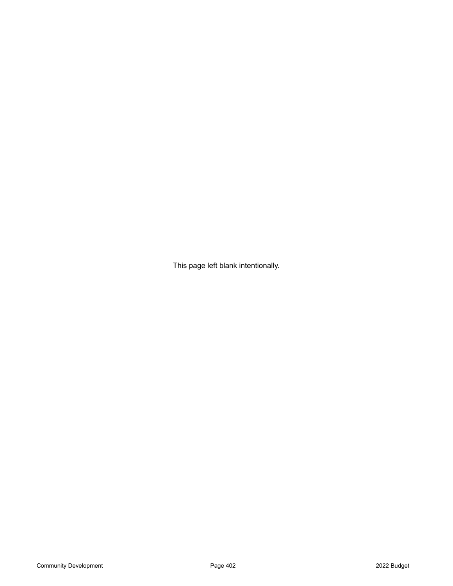This page left blank intentionally.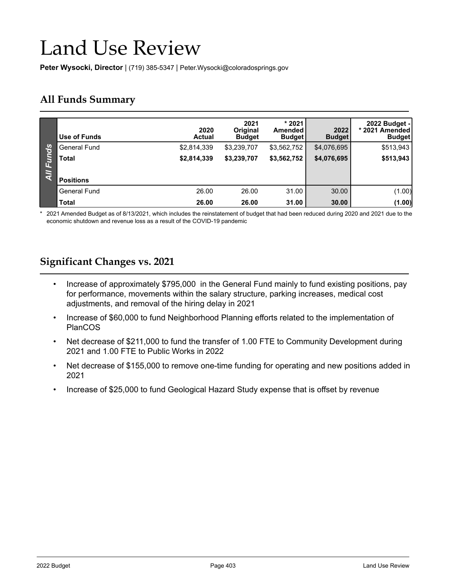# Land Use Review

**Peter Wysocki, Director** | (719) 385-5347 | Peter.Wysocki@coloradosprings.gov

# **All Funds Summary**

|                      | Use of Funds        | 2020<br><b>Actual</b> | 2021<br>Original<br><b>Budget</b> | $*2021$<br>Amended<br><b>Budget</b> | 2022<br><b>Budget</b> | 2022 Budget -<br>* 2021 Amended<br><b>Budget</b> |
|----------------------|---------------------|-----------------------|-----------------------------------|-------------------------------------|-----------------------|--------------------------------------------------|
| ಕೆ                   | <b>General Fund</b> | \$2,814,339           | \$3,239,707                       | \$3,562,752                         | \$4,076,695           | \$513,943                                        |
|                      | <b>Total</b>        | \$2,814,339           | \$3,239,707                       | \$3,562,752                         | \$4,076,695           | \$513,943                                        |
| $\blacksquare$<br>ΞŦ | <b>Positions</b>    |                       |                                   |                                     |                       |                                                  |
|                      | <b>General Fund</b> | 26.00                 | 26.00                             | 31.00                               | 30.00                 | (1.00)                                           |
|                      | <b>Total</b>        | 26.00                 | 26.00                             | 31.00                               | 30.00                 | (1.00)                                           |

2021 Amended Budget as of 8/13/2021, which includes the reinstatement of budget that had been reduced during 2020 and 2021 due to the economic shutdown and revenue loss as a result of the COVID-19 pandemic

# **Significant Changes vs. 2021**

- Increase of approximately \$795,000 in the General Fund mainly to fund existing positions, pay for performance, movements within the salary structure, parking increases, medical cost adjustments, and removal of the hiring delay in 2021
- Increase of \$60,000 to fund Neighborhood Planning efforts related to the implementation of PlanCOS
- Net decrease of \$211,000 to fund the transfer of 1.00 FTE to Community Development during 2021 and 1.00 FTE to Public Works in 2022
- Net decrease of \$155,000 to remove one-time funding for operating and new positions added in 2021
- Increase of \$25,000 to fund Geological Hazard Study expense that is offset by revenue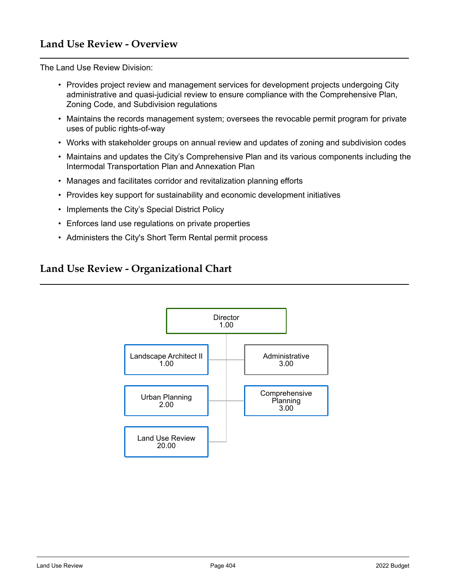# **Land Use Review - Overview**

The Land Use Review Division:

- Provides project review and management services for development projects undergoing City administrative and quasi-judicial review to ensure compliance with the Comprehensive Plan, Zoning Code, and Subdivision regulations
- Maintains the records management system; oversees the revocable permit program for private uses of public rights-of-way
- Works with stakeholder groups on annual review and updates of zoning and subdivision codes
- Maintains and updates the City's Comprehensive Plan and its various components including the Intermodal Transportation Plan and Annexation Plan
- Manages and facilitates corridor and revitalization planning efforts
- Provides key support for sustainability and economic development initiatives
- Implements the City's Special District Policy
- Enforces land use regulations on private properties
- Administers the City's Short Term Rental permit process

## **Land Use Review - Organizational Chart**

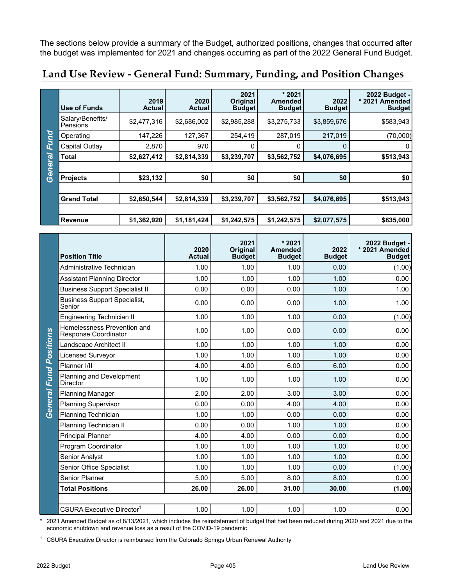The sections below provide a summary of the Budget, authorized positions, changes that occurred after the budget was implemented for 2021 and changes occurring as part of the 2022 General Fund Budget.

|  |  |  | Land Use Review - General Fund: Summary, Funding, and Position Changes |  |
|--|--|--|------------------------------------------------------------------------|--|
|  |  |  |                                                                        |  |

|         | <b>Use of Funds</b>          | 2019<br><b>Actual</b> | 2020<br><b>Actual</b> | 2021<br>Original<br><b>Budget</b> | $*2021$<br><b>Amended</b><br><b>Budget</b> | 2022<br><b>Budget</b> | 2022 Budget -<br>* 2021 Amended<br><b>Budget</b> |
|---------|------------------------------|-----------------------|-----------------------|-----------------------------------|--------------------------------------------|-----------------------|--------------------------------------------------|
|         | Salary/Benefits/<br>Pensions | \$2,477,316           | \$2,686,002           | \$2,985,288                       | \$3,275,733                                | \$3,859,676           | \$583,943                                        |
| Fund    | Operating                    | 147,226               | 127,367               | 254,419                           | 287,019                                    | 217,019               | (70,000)                                         |
|         | <b>Capital Outlay</b>        | 2,870                 | 970                   | 0                                 | 0                                          |                       | 0                                                |
|         | <b>Total</b>                 | \$2,627,412           | \$2,814,339           | \$3,239,707                       | \$3,562,752                                | \$4,076,695           | \$513,943                                        |
| General |                              |                       |                       |                                   |                                            |                       |                                                  |
|         | <b>Projects</b>              | \$23,132              | \$0                   | \$0                               | \$0                                        | \$0                   | \$0                                              |
|         |                              |                       |                       |                                   |                                            |                       |                                                  |
|         | <b>Grand Total</b>           | \$2,650,544           | \$2,814,339           | \$3,239,707                       | \$3,562,752                                | \$4,076,695           | \$513,943                                        |
|         |                              |                       |                       |                                   |                                            |                       |                                                  |
|         | Revenue                      | \$1,362,920           | \$1,181,424           | \$1,242,575                       | \$1,242,575                                | \$2,077,575           | \$835,000                                        |

|                       | <b>Position Title</b>                                      | 2020<br><b>Actual</b> | 2021<br>Original<br><b>Budget</b> | $*2021$<br><b>Amended</b><br><b>Budget</b> | 2022<br><b>Budget</b> | 2022 Budget -<br>* 2021 Amended<br><b>Budget</b> |
|-----------------------|------------------------------------------------------------|-----------------------|-----------------------------------|--------------------------------------------|-----------------------|--------------------------------------------------|
|                       | Administrative Technician                                  | 1.00                  | 1.00                              | 1.00                                       | 0.00                  | (1.00)                                           |
|                       | <b>Assistant Planning Director</b>                         | 1.00                  | 1.00                              | 1.00                                       | 1.00                  | 0.00                                             |
|                       | <b>Business Support Specialist II</b>                      | 0.00                  | 0.00                              | 0.00                                       | 1.00                  | 1.00                                             |
|                       | <b>Business Support Specialist,</b><br>Senior              | 0.00                  | 0.00                              | 0.00                                       | 1.00                  | 1.00                                             |
|                       | Engineering Technician II                                  | 1.00                  | 1.00                              | 1.00                                       | 0.00                  | (1.00)                                           |
|                       | Homelessness Prevention and<br><b>Response Coordinator</b> | 1.00                  | 1.00                              | 0.00                                       | 0.00                  | 0.00                                             |
|                       | Landscape Architect II                                     | 1.00                  | 1.00                              | 1.00                                       | 1.00                  | 0.00                                             |
|                       | <b>Licensed Surveyor</b>                                   | 1.00                  | 1.00                              | 1.00                                       | 1.00                  | 0.00                                             |
|                       | Planner I/II                                               | 4.00                  | 4.00                              | 6.00                                       | 6.00                  | 0.00                                             |
| <b>Fund Positions</b> | Planning and Development<br><b>Director</b>                | 1.00                  | 1.00                              | 1.00                                       | 1.00                  | 0.00                                             |
| General               | <b>Planning Manager</b>                                    | 2.00                  | 2.00                              | 3.00                                       | 3.00                  | 0.00                                             |
|                       | <b>Planning Supervisor</b>                                 | 0.00                  | 0.00                              | 4.00                                       | 4.00                  | 0.00                                             |
|                       | Planning Technician                                        | 1.00                  | 1.00                              | 0.00                                       | 0.00                  | 0.00                                             |
|                       | Planning Technician II                                     | 0.00                  | 0.00                              | 1.00                                       | 1.00                  | 0.00                                             |
|                       | <b>Principal Planner</b>                                   | 4.00                  | 4.00                              | 0.00                                       | 0.00                  | 0.00                                             |
|                       | Program Coordinator                                        | 1.00                  | 1.00                              | 1.00                                       | 1.00                  | 0.00                                             |
|                       | <b>Senior Analyst</b>                                      | 1.00                  | 1.00                              | 1.00                                       | 1.00                  | 0.00                                             |
|                       | Senior Office Specialist                                   | 1.00                  | 1.00                              | 1.00                                       | 0.00                  | (1.00)                                           |
|                       | Senior Planner                                             | 5.00                  | 5.00                              | 8.00                                       | 8.00                  | 0.00                                             |
|                       | <b>Total Positions</b>                                     | 26.00                 | 26.00                             | 31.00                                      | 30.00                 | (1.00)                                           |
|                       |                                                            |                       |                                   |                                            |                       |                                                  |
|                       | <b>CSURA Executive Director1</b>                           | 1.00                  | 1.00                              | 1.00                                       | 1.00                  | 0.00                                             |

\* 2021 Amended Budget as of 8/13/2021, which includes the reinstatement of budget that had been reduced during 2020 and 2021 due to the economic shutdown and revenue loss as a result of the COVID-19 pandemic

<sup>1</sup> CSURA Executive Director is reimbursed from the Colorado Springs Urban Renewal Authority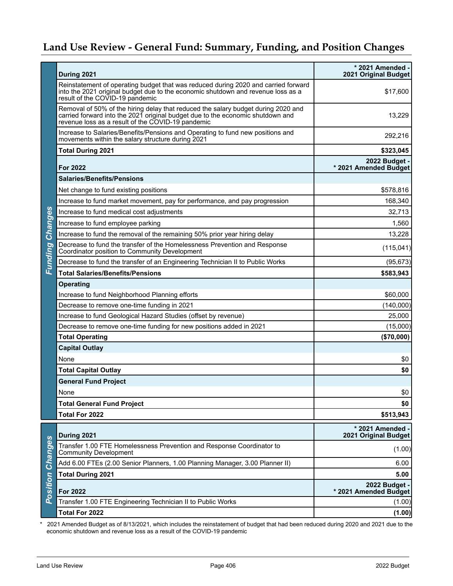# **Land Use Review - General Fund: Summary, Funding, and Position Changes**

|                         | During 2021                                                                                                                                                                                                              | * 2021 Amended -<br>2021 Original Budget |
|-------------------------|--------------------------------------------------------------------------------------------------------------------------------------------------------------------------------------------------------------------------|------------------------------------------|
|                         | Reinstatement of operating budget that was reduced during 2020 and carried forward<br>into the 2021 original budget due to the economic shutdown and revenue loss as a<br>result of the COVID-19 pandemic                | \$17,600                                 |
|                         | Removal of 50% of the hiring delay that reduced the salary budget during 2020 and<br>carried forward into the 2021 original budget due to the economic shutdown and<br>revenue loss as a result of the COVID-19 pandemic | 13,229                                   |
|                         | Increase to Salaries/Benefits/Pensions and Operating to fund new positions and<br>movements within the salary structure during 2021                                                                                      | 292,216                                  |
|                         | <b>Total During 2021</b>                                                                                                                                                                                                 | \$323,045                                |
|                         | <b>For 2022</b>                                                                                                                                                                                                          | 2022 Budget -<br>* 2021 Amended Budget   |
|                         | <b>Salaries/Benefits/Pensions</b>                                                                                                                                                                                        |                                          |
|                         | Net change to fund existing positions                                                                                                                                                                                    | \$578,816                                |
|                         | Increase to fund market movement, pay for performance, and pay progression                                                                                                                                               | 168,340                                  |
|                         | Increase to fund medical cost adjustments                                                                                                                                                                                | 32,713                                   |
|                         | Increase to fund employee parking                                                                                                                                                                                        | 1,560                                    |
|                         | Increase to fund the removal of the remaining 50% prior year hiring delay                                                                                                                                                | 13,228                                   |
| <b>Funding Changes</b>  | Decrease to fund the transfer of the Homelessness Prevention and Response<br>Coordinator position to Community Development                                                                                               | (115, 041)                               |
|                         | Decrease to fund the transfer of an Engineering Technician II to Public Works                                                                                                                                            | (95, 673)                                |
|                         | <b>Total Salaries/Benefits/Pensions</b>                                                                                                                                                                                  | \$583,943                                |
|                         | <b>Operating</b>                                                                                                                                                                                                         |                                          |
|                         | Increase to fund Neighborhood Planning efforts                                                                                                                                                                           | \$60,000                                 |
|                         | Decrease to remove one-time funding in 2021                                                                                                                                                                              | (140,000)                                |
|                         | Increase to fund Geological Hazard Studies (offset by revenue)                                                                                                                                                           | 25,000                                   |
|                         | Decrease to remove one-time funding for new positions added in 2021                                                                                                                                                      | (15,000)                                 |
|                         | <b>Total Operating</b>                                                                                                                                                                                                   | (\$70,000)                               |
|                         | <b>Capital Outlay</b>                                                                                                                                                                                                    |                                          |
|                         | None                                                                                                                                                                                                                     | \$0                                      |
|                         | <b>Total Capital Outlay</b>                                                                                                                                                                                              | \$0                                      |
|                         | <b>General Fund Project</b>                                                                                                                                                                                              |                                          |
|                         | None                                                                                                                                                                                                                     | \$0                                      |
|                         | <b>Total General Fund Project</b>                                                                                                                                                                                        | \$0                                      |
|                         | Total For 2022                                                                                                                                                                                                           | \$513,943                                |
|                         | During 2021                                                                                                                                                                                                              | * 2021 Amended<br>2021 Original Budget   |
|                         | Transfer 1.00 FTE Homelessness Prevention and Response Coordinator to<br><b>Community Development</b>                                                                                                                    | (1.00)                                   |
|                         | Add 6.00 FTEs (2.00 Senior Planners, 1.00 Planning Manager, 3.00 Planner II)                                                                                                                                             | 6.00                                     |
|                         | <b>Total During 2021</b>                                                                                                                                                                                                 | 5.00                                     |
| <b>Position Changes</b> | <b>For 2022</b>                                                                                                                                                                                                          | 2022 Budget -<br>* 2021 Amended Budget   |
|                         | Transfer 1.00 FTE Engineering Technician II to Public Works                                                                                                                                                              | (1.00)                                   |
|                         | Total For 2022                                                                                                                                                                                                           | (1.00)                                   |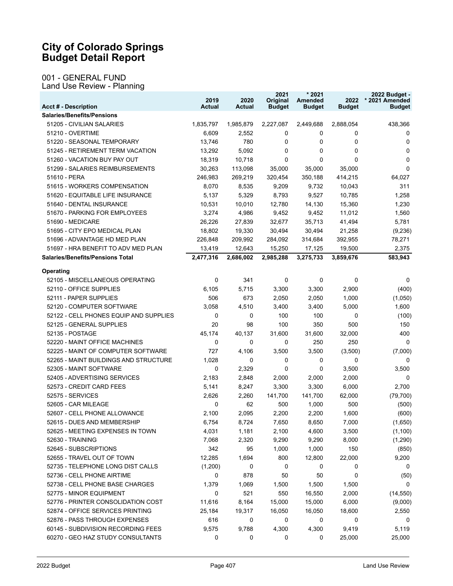### 001 - GENERAL FUND

Land Use Review - Planning

|                                         | 2019      | 2020      | 2021<br>Original | $*2021$<br>Amended | 2022          | 2022 Budget -<br>* 2021 Amended |
|-----------------------------------------|-----------|-----------|------------------|--------------------|---------------|---------------------------------|
| <b>Acct # - Description</b>             | Actual    | Actual    | <b>Budget</b>    | <b>Budget</b>      | <b>Budget</b> | <b>Budget</b>                   |
| <b>Salaries/Benefits/Pensions</b>       |           |           |                  |                    |               |                                 |
| 51205 - CIVILIAN SALARIES               | 1,835,797 | 1,985,879 | 2,227,087        | 2,449,688          | 2,888,054     | 438,366                         |
| 51210 - OVERTIME                        | 6,609     | 2,552     | 0                | 0                  | 0             | 0                               |
| 51220 - SEASONAL TEMPORARY              | 13,746    | 780       | 0                | 0                  | 0             | 0                               |
| 51245 - RETIREMENT TERM VACATION        | 13,292    | 5,092     | 0                | 0                  | 0             | 0                               |
| 51260 - VACATION BUY PAY OUT            | 18,319    | 10,718    | 0                | 0                  | $\Omega$      | $\Omega$                        |
| 51299 - SALARIES REIMBURSEMENTS         | 30,263    | 113,098   | 35,000           | 35,000             | 35,000        | $\Omega$                        |
| 51610 - PERA                            | 246,983   | 269,219   | 320,454          | 350,188            | 414,215       | 64,027                          |
| 51615 - WORKERS COMPENSATION            | 8,070     | 8,535     | 9,209            | 9,732              | 10,043        | 311                             |
| 51620 - EQUITABLE LIFE INSURANCE        | 5,137     | 5,329     | 8,793            | 9,527              | 10,785        | 1,258                           |
| 51640 - DENTAL INSURANCE                | 10,531    | 10,010    | 12,780           | 14,130             | 15,360        | 1,230                           |
| 51670 - PARKING FOR EMPLOYEES           | 3,274     | 4,986     | 9,452            | 9,452              | 11,012        | 1,560                           |
| 51690 - MEDICARE                        | 26,226    | 27,839    | 32,677           | 35,713             | 41,494        | 5,781                           |
| 51695 - CITY EPO MEDICAL PLAN           | 18,802    | 19,330    | 30,494           | 30,494             | 21,258        | (9,236)                         |
| 51696 - ADVANTAGE HD MED PLAN           | 226,848   | 209,992   | 284,092          | 314,684            | 392,955       | 78,271                          |
| 51697 - HRA BENEFIT TO ADV MED PLAN     | 13,419    | 12,643    | 15,250           | 17,125             | 19,500        | 2,375                           |
| <b>Salaries/Benefits/Pensions Total</b> | 2,477,316 | 2,686,002 | 2,985,288        | 3,275,733          | 3,859,676     | 583,943                         |
|                                         |           |           |                  |                    |               |                                 |
| Operating                               |           |           |                  |                    |               |                                 |
| 52105 - MISCELLANEOUS OPERATING         | 0         | 341       | 0                | 0                  | 0             | 0                               |
| 52110 - OFFICE SUPPLIES                 | 6,105     | 5,715     | 3,300            | 3,300              | 2,900         | (400)                           |
| 52111 - PAPER SUPPLIES                  | 506       | 673       | 2,050            | 2,050              | 1,000         | (1,050)                         |
| 52120 - COMPUTER SOFTWARE               | 3,058     | 4,510     | 3,400            | 3,400              | 5,000         | 1,600                           |
| 52122 - CELL PHONES EQUIP AND SUPPLIES  | 0         | 0         | 100              | 100                | 0             | (100)                           |
| 52125 - GENERAL SUPPLIES                | 20        | 98        | 100              | 350                | 500           | 150                             |
| 52135 - POSTAGE                         | 45,174    | 40,137    | 31,600           | 31,600             | 32,000        | 400                             |
| 52220 - MAINT OFFICE MACHINES           | 0         | 0         | 0                | 250                | 250           | $\Omega$                        |
| 52225 - MAINT OF COMPUTER SOFTWARE      | 727       | 4,106     | 3,500            | 3,500              | (3,500)       | (7,000)                         |
| 52265 - MAINT BUILDINGS AND STRUCTURE   | 1,028     | 0         | 0                | 0                  | 0             | 0                               |
| 52305 - MAINT SOFTWARE                  | 0         | 2,329     | 0                | 0                  | 3,500         | 3,500                           |
| 52405 - ADVERTISING SERVICES            | 2,183     | 2,848     | 2,000            | 2,000              | 2,000         | 0                               |
| 52573 - CREDIT CARD FEES                | 5,141     | 8,247     | 3,300            | 3,300              | 6,000         | 2,700                           |
| 52575 - SERVICES                        | 2,626     | 2,260     | 141,700          | 141,700            | 62,000        | (79, 700)                       |
| 52605 - CAR MILEAGE                     | 0         | 62        | 500              | 1,000              | 500           | (500)                           |
| 52607 - CELL PHONE ALLOWANCE            | 2,100     | 2,095     | 2,200            | 2,200              | 1,600         | (600)                           |
| 52615 - DUES AND MEMBERSHIP             | 6,754     | 8,724     | 7,650            | 8,650              | 7,000         | (1,650)                         |
| 52625 - MEETING EXPENSES IN TOWN        | 4,031     | 1,181     | 2,100            | 4,600              | 3,500         | (1,100)                         |
| 52630 - TRAINING                        | 7,068     | 2,320     | 9,290            | 9,290              | 8,000         | (1,290)                         |
| 52645 - SUBSCRIPTIONS                   | 342       | 95        | 1,000            | 1,000              | 150           | (850)                           |
| 52655 - TRAVEL OUT OF TOWN              | 12,285    | 1,694     | 800              | 12,800             | 22,000        | 9,200                           |
| 52735 - TELEPHONE LONG DIST CALLS       | (1,200)   | 0         | 0                | 0                  | 0             | 0                               |
| 52736 - CELL PHONE AIRTIME              | 0         | 878       | 50               | 50                 | 0             | (50)                            |
| 52738 - CELL PHONE BASE CHARGES         | 1,379     | 1,069     | 1,500            | 1,500              | 1,500         | 0                               |
| 52775 - MINOR EQUIPMENT                 | 0         | 521       | 550              | 16,550             | 2,000         | (14, 550)                       |
| 52776 - PRINTER CONSOLIDATION COST      | 11,616    | 8,164     | 15,000           | 15,000             | 6,000         | (9,000)                         |
| 52874 - OFFICE SERVICES PRINTING        | 25,184    | 19,317    | 16,050           | 16,050             | 18,600        | 2,550                           |
| 52876 - PASS THROUGH EXPENSES           | 616       | 0         | 0                | 0                  | 0             | 0                               |
| 60145 - SUBDIVISION RECORDING FEES      | 9,575     | 9,788     | 4,300            | 4,300              | 9,419         | 5,119                           |
| 60270 - GEO HAZ STUDY CONSULTANTS       | 0         | 0         | 0                | 0                  | 25,000        | 25,000                          |
|                                         |           |           |                  |                    |               |                                 |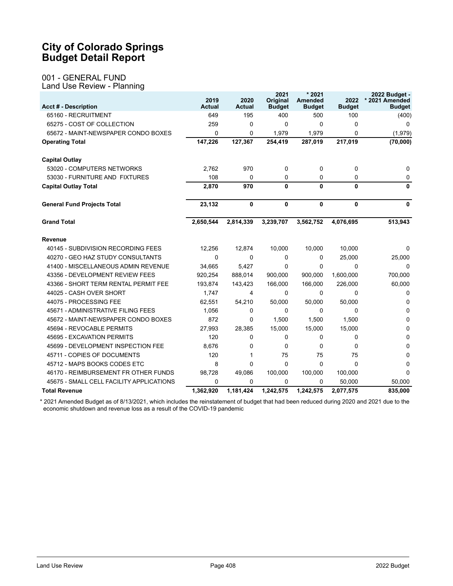### 001 - GENERAL FUND

Land Use Review - Planning

| <b>Acct # - Description</b>              | 2019<br>Actual | 2020<br>Actual | 2021<br><b>Original</b><br><b>Budget</b> | $*2021$<br>Amended<br><b>Budget</b> | 2022<br><b>Budget</b> | 2022 Budget -<br>* 2021 Amended<br><b>Budget</b> |
|------------------------------------------|----------------|----------------|------------------------------------------|-------------------------------------|-----------------------|--------------------------------------------------|
| 65160 - RECRUITMENT                      | 649            | 195            | 400                                      | 500                                 | 100                   | (400)                                            |
| 65275 - COST OF COLLECTION               | 259            | 0              | 0                                        | 0                                   | 0                     | 0                                                |
| 65672 - MAINT-NEWSPAPER CONDO BOXES      | 0              | 0              | 1,979                                    | 1,979                               | 0                     | (1,979)                                          |
| <b>Operating Total</b>                   | 147,226        | 127,367        | 254,419                                  | 287,019                             | 217,019               | (70,000)                                         |
| <b>Capital Outlay</b>                    |                |                |                                          |                                     |                       |                                                  |
| 53020 - COMPUTERS NETWORKS               | 2.762          | 970            | $\mathbf 0$                              | 0                                   | 0                     | $\mathbf{0}$                                     |
| 53030 - FURNITURE AND FIXTURES           | 108            | $\mathbf{0}$   | 0                                        | 0                                   | 0                     | 0                                                |
| <b>Capital Outlay Total</b>              | 2,870          | 970            | $\bf{0}$                                 | $\bf{0}$                            | 0                     | $\Omega$                                         |
| <b>General Fund Projects Total</b>       | 23,132         | 0              | $\bf{0}$                                 | $\bf{0}$                            | 0                     | $\mathbf{0}$                                     |
| <b>Grand Total</b>                       | 2,650,544      | 2,814,339      | 3,239,707                                | 3,562,752                           | 4.076.695             | 513,943                                          |
| Revenue                                  |                |                |                                          |                                     |                       |                                                  |
| 40145 - SUBDIVISION RECORDING FEES       | 12,256         | 12,874         | 10,000                                   | 10,000                              | 10,000                | 0                                                |
| 40270 - GEO HAZ STUDY CONSULTANTS        | $\Omega$       | $\Omega$       | 0                                        | 0                                   | 25,000                | 25,000                                           |
| 41400 - MISCELLANEOUS ADMIN REVENUE      | 34.665         | 5,427          | $\Omega$                                 | $\Omega$                            | 0                     | $\Omega$                                         |
| 43356 - DEVELOPMENT REVIEW FEES          | 920,254        | 888,014        | 900,000                                  | 900,000                             | 1,600,000             | 700,000                                          |
| 43366 - SHORT TERM RENTAL PERMIT FEE     | 193,874        | 143,423        | 166,000                                  | 166,000                             | 226,000               | 60,000                                           |
| 44025 - CASH OVER SHORT                  | 1,747          | 4              | $\Omega$                                 | 0                                   | 0                     | 0                                                |
| 44075 - PROCESSING FEE                   | 62,551         | 54,210         | 50,000                                   | 50,000                              | 50,000                | 0                                                |
| 45671 - ADMINISTRATIVE FILING FEES       | 1,056          | 0              | 0                                        | 0                                   | 0                     | 0                                                |
| 45672 - MAINT-NEWSPAPER CONDO BOXES      | 872            | 0              | 1,500                                    | 1,500                               | 1,500                 | 0                                                |
| 45694 - REVOCABLE PERMITS                | 27,993         | 28,385         | 15,000                                   | 15,000                              | 15,000                | $\Omega$                                         |
| 45695 - EXCAVATION PERMITS               | 120            | 0              | 0                                        | 0                                   | 0                     | $\mathbf 0$                                      |
| 45699 - DEVELOPMENT INSPECTION FEE       | 8,676          | 0              | $\Omega$                                 | 0                                   | 0                     | 0                                                |
| 45711 - COPIES OF DOCUMENTS              | 120            | 1              | 75                                       | 75                                  | 75                    | 0                                                |
| 45712 - MAPS BOOKS CODES ETC             | 8              | 0              | $\Omega$                                 | 0                                   | 0                     | 0                                                |
| 46170 - REIMBURSEMENT FR OTHER FUNDS     | 98,728         | 49,086         | 100,000                                  | 100,000                             | 100,000               | $\Omega$                                         |
| 45675 - SMALL CELL FACILITY APPLICATIONS | 0              | 0              | 0                                        | 0                                   | 50,000                | 50.000                                           |
| <b>Total Revenue</b>                     | 1,362,920      | 1,181,424      | 1,242,575                                | 1,242,575                           | 2,077,575             | 835,000                                          |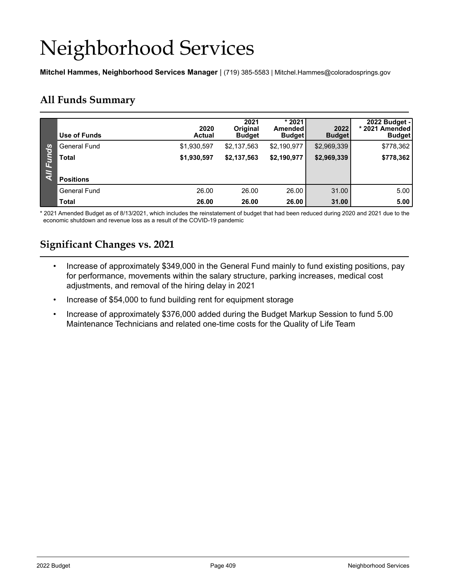# Neighborhood Services

**Mitchel Hammes, Neighborhood Services Manager** | (719) 385-5583 | Mitchel.Hammes@coloradosprings.gov

# **All Funds Summary**

|              | Use of Funds        | 2020<br><b>Actual</b> | 2021<br><b>Original</b><br><b>Budget</b> | $*2021$<br>Amended<br>Budget! | 2022<br><b>Budget</b> | 2022 Budget -<br>* 2021 Amended<br><b>Budget</b> |
|--------------|---------------------|-----------------------|------------------------------------------|-------------------------------|-----------------------|--------------------------------------------------|
|              | General Fund        | \$1,930,597           | \$2,137,563                              | \$2,190,977                   | \$2,969,339           | \$778,362                                        |
| <b>Funds</b> | Total               | \$1,930,597           | \$2,137,563                              | \$2,190,977                   | \$2,969,339           | \$778,362                                        |
|              | <b>Positions</b>    |                       |                                          |                               |                       |                                                  |
|              | <b>General Fund</b> | 26.00                 | 26.00                                    | 26.00                         | 31.00                 | 5.00                                             |
|              | Total               | 26.00                 | 26.00                                    | 26.00                         | 31.00                 | 5.00                                             |

\* 2021 Amended Budget as of 8/13/2021, which includes the reinstatement of budget that had been reduced during 2020 and 2021 due to the economic shutdown and revenue loss as a result of the COVID-19 pandemic

# **Significant Changes vs. 2021**

- Increase of approximately \$349,000 in the General Fund mainly to fund existing positions, pay for performance, movements within the salary structure, parking increases, medical cost adjustments, and removal of the hiring delay in 2021
- Increase of \$54,000 to fund building rent for equipment storage
- Increase of approximately \$376,000 added during the Budget Markup Session to fund 5.00 Maintenance Technicians and related one-time costs for the Quality of Life Team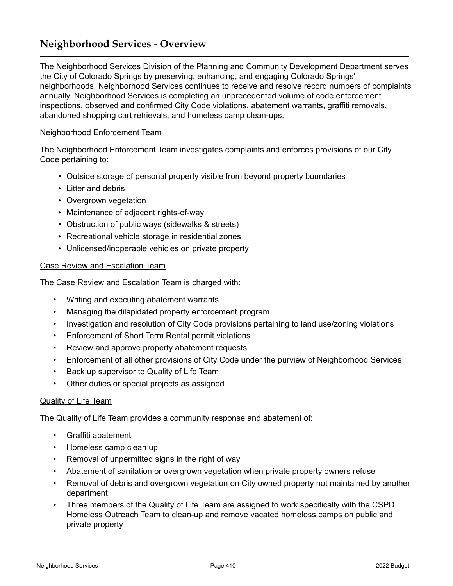# **Neighborhood Services - Overview**

The Neighborhood Services Division of the Planning and Community Development Department serves the City of Colorado Springs by preserving, enhancing, and engaging Colorado Springs' neighborhoods. Neighborhood Services continues to receive and resolve record numbers of complaints annually. Neighborhood Services is completing an unprecedented volume of code enforcement inspections, observed and confirmed City Code violations, abatement warrants, graffiti removals, abandoned shopping cart retrievals, and homeless camp clean-ups.

### Neighborhood Enforcement Team

The Neighborhood Enforcement Team investigates complaints and enforces provisions of our City Code pertaining to:

- Outside storage of personal property visible from beyond property boundaries
- Litter and debris
- Overgrown vegetation
- Maintenance of adjacent rights-of-way
- Obstruction of public ways (sidewalks & streets)
- Recreational vehicle storage in residential zones
- Unlicensed/inoperable vehicles on private property

### Case Review and Escalation Team

The Case Review and Escalation Team is charged with:

- Writing and executing abatement warrants
- Managing the dilapidated property enforcement program
- Investigation and resolution of City Code provisions pertaining to land use/zoning violations
- Enforcement of Short Term Rental permit violations
- Review and approve property abatement requests
- Enforcement of all other provisions of City Code under the purview of Neighborhood Services
- Back up supervisor to Quality of Life Team
- Other duties or special projects as assigned

### Quality of Life Team

The Quality of Life Team provides a community response and abatement of:

- Graffiti abatement
- Homeless camp clean up
- Removal of unpermitted signs in the right of way
- Abatement of sanitation or overgrown vegetation when private property owners refuse
- Removal of debris and overgrown vegetation on City owned property not maintained by another department
- Three members of the Quality of Life Team are assigned to work specifically with the CSPD Homeless Outreach Team to clean-up and remove vacated homeless camps on public and private property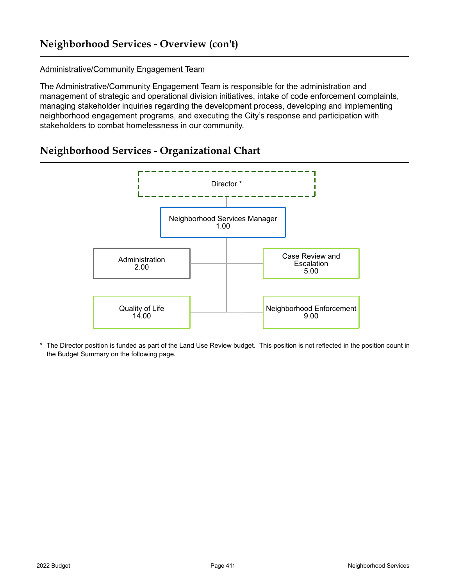## Administrative/Community Engagement Team

The Administrative/Community Engagement Team is responsible for the administration and management of strategic and operational division initiatives, intake of code enforcement complaints, managing stakeholder inquiries regarding the development process, developing and implementing neighborhood engagement programs, and executing the City's response and participation with stakeholders to combat homelessness in our community.

# **Neighborhood Services - Organizational Chart**



\* The Director position is funded as part of the Land Use Review budget. This position is not reflected in the position count in the Budget Summary on the following page.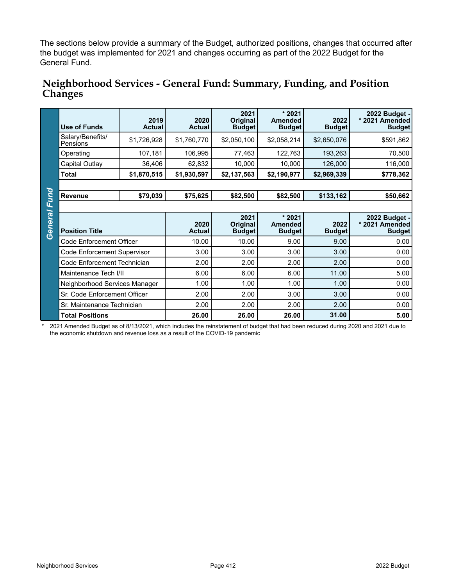The sections below provide a summary of the Budget, authorized positions, changes that occurred after the budget was implemented for 2021 and changes occurring as part of the 2022 Budget for the General Fund.

## **Neighborhood Services - General Fund: Summary, Funding, and Position Changes**

|         | <b>Use of Funds</b>             | 2019<br><b>Actual</b> | 2020<br><b>Actual</b> | 2021<br><b>Original</b><br><b>Budget</b> | $*2021$<br><b>Amended</b><br><b>Budget</b> | 2022<br><b>Budget</b> | 2022 Budget -<br>* 2021 Amended<br><b>Budget</b> |  |  |
|---------|---------------------------------|-----------------------|-----------------------|------------------------------------------|--------------------------------------------|-----------------------|--------------------------------------------------|--|--|
|         | Salary/Benefits/<br>Pensions    | \$1,726,928           | \$1,760,770           | \$2,050,100                              | \$2,058,214                                | \$2,650,076           | \$591,862                                        |  |  |
|         | Operating                       | 107,181               | 106,995               | 77,463                                   | 122,763                                    | 193,263               | 70,500                                           |  |  |
|         | Capital Outlay                  | 36,406                | 62,832                | 10,000                                   | 10,000                                     | 126,000               | 116,000                                          |  |  |
|         | <b>Total</b>                    | \$1,870,515           | \$1,930,597           | \$2,137,563                              | \$2,190,977                                | \$2,969,339           | \$778,362                                        |  |  |
|         |                                 |                       |                       |                                          |                                            |                       |                                                  |  |  |
| Fund    | <b>Revenue</b>                  | \$79,039              | \$75,625              | \$82,500                                 | \$82,500                                   | \$133,162             | \$50,662                                         |  |  |
|         |                                 |                       |                       |                                          |                                            |                       |                                                  |  |  |
| General | <b>Position Title</b>           |                       | 2020<br><b>Actual</b> | 2021<br>Original<br><b>Budget</b>        | $*2021$<br><b>Amended</b><br><b>Budget</b> | 2022<br><b>Budget</b> | 2022 Budget -<br>* 2021 Amended<br><b>Budget</b> |  |  |
|         | <b>Code Enforcement Officer</b> |                       | 10.00                 | 10.00                                    | 9.00                                       | 9.00                  | 0.00                                             |  |  |
|         | Code Enforcement Supervisor     |                       | 3.00                  | 3.00                                     | 3.00                                       | 3.00                  | 0.00                                             |  |  |
|         | Code Enforcement Technician     |                       | 2.00                  | 2.00                                     | 2.00                                       | 2.00                  | 0.00                                             |  |  |
|         | Maintenance Tech I/II           |                       | 6.00                  | 6.00                                     | 6.00                                       | 11.00                 | 5.00                                             |  |  |
|         | Neighborhood Services Manager   |                       | 1.00                  | 1.00                                     | 1.00                                       | 1.00                  | 0.00                                             |  |  |
|         | Sr. Code Enforcement Officer    |                       | 2.00                  | 2.00                                     | 3.00                                       | 3.00                  | 0.00                                             |  |  |
|         | Sr. Maintenance Technician      |                       | 2.00                  | 2.00                                     | 2.00                                       | 2.00                  | 0.00                                             |  |  |
|         | <b>Total Positions</b>          |                       | 26.00                 | 26.00                                    | 26.00                                      | 31.00                 | 5.00                                             |  |  |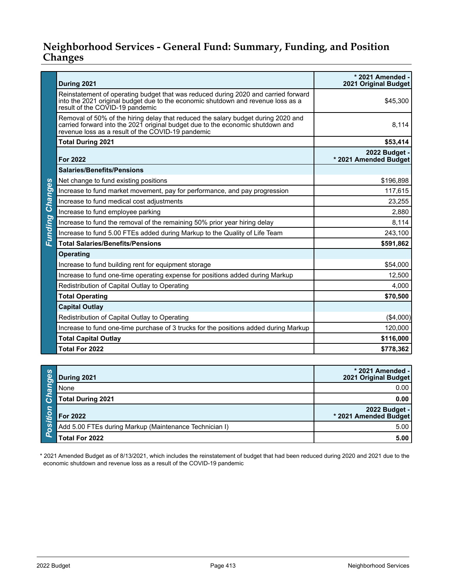# **Neighborhood Services - General Fund: Summary, Funding, and Position Changes**

|                            | During 2021                                                                                                                                                                                                              | * 2021 Amended -<br>2021 Original Budget |  |  |
|----------------------------|--------------------------------------------------------------------------------------------------------------------------------------------------------------------------------------------------------------------------|------------------------------------------|--|--|
|                            | Reinstatement of operating budget that was reduced during 2020 and carried forward<br>into the 2021 original budget due to the economic shutdown and revenue loss as a<br>result of the COVID-19 pandemic                | \$45,300                                 |  |  |
|                            | Removal of 50% of the hiring delay that reduced the salary budget during 2020 and<br>carried forward into the 2021 original budget due to the economic shutdown and<br>revenue loss as a result of the COVID-19 pandemic | 8.114                                    |  |  |
|                            | <b>Total During 2021</b>                                                                                                                                                                                                 | \$53,414                                 |  |  |
|                            | <b>For 2022</b>                                                                                                                                                                                                          | 2022 Budget -<br>* 2021 Amended Budget   |  |  |
|                            | <b>Salaries/Benefits/Pensions</b>                                                                                                                                                                                        |                                          |  |  |
|                            | Net change to fund existing positions                                                                                                                                                                                    | \$196,898                                |  |  |
|                            | Increase to fund market movement, pay for performance, and pay progression                                                                                                                                               | 117,615                                  |  |  |
| Changes<br><u> Gurpun-</u> | Increase to fund medical cost adjustments                                                                                                                                                                                | 23,255                                   |  |  |
|                            | Increase to fund employee parking                                                                                                                                                                                        | 2.880                                    |  |  |
|                            | Increase to fund the removal of the remaining 50% prior year hiring delay                                                                                                                                                | 8,114                                    |  |  |
|                            | Increase to fund 5.00 FTEs added during Markup to the Quality of Life Team                                                                                                                                               | 243,100                                  |  |  |
|                            | <b>Total Salaries/Benefits/Pensions</b>                                                                                                                                                                                  | \$591,862                                |  |  |
|                            | <b>Operating</b>                                                                                                                                                                                                         |                                          |  |  |
|                            | Increase to fund building rent for equipment storage                                                                                                                                                                     | \$54,000                                 |  |  |
|                            | Increase to fund one-time operating expense for positions added during Markup                                                                                                                                            | 12,500                                   |  |  |
|                            | Redistribution of Capital Outlay to Operating                                                                                                                                                                            | 4,000                                    |  |  |
|                            | <b>Total Operating</b>                                                                                                                                                                                                   | \$70,500                                 |  |  |
|                            | <b>Capital Outlay</b>                                                                                                                                                                                                    |                                          |  |  |
|                            | Redistribution of Capital Outlay to Operating                                                                                                                                                                            | $(\$4,000)$                              |  |  |
|                            | Increase to fund one-time purchase of 3 trucks for the positions added during Markup                                                                                                                                     | 120,000                                  |  |  |
|                            | <b>Total Capital Outlay</b>                                                                                                                                                                                              | \$116,000                                |  |  |
|                            | Total For 2022                                                                                                                                                                                                           | \$778,362                                |  |  |

| ဖ<br>ge<br>$\overline{\sigma}$ | During 2021                                            | * 2021 Amended -<br>2021 Original Budget |  |  |
|--------------------------------|--------------------------------------------------------|------------------------------------------|--|--|
|                                | l None                                                 | 0.00                                     |  |  |
|                                | Total During 2021                                      | 0.00                                     |  |  |
| Ĕ                              | <b>For 2022</b>                                        | 2022 Budget -<br>* 2021 Amended Budget   |  |  |
| ဖိ                             | Add 5.00 FTEs during Markup (Maintenance Technician I) | 5.00                                     |  |  |
|                                | Total For 2022                                         | 5.00                                     |  |  |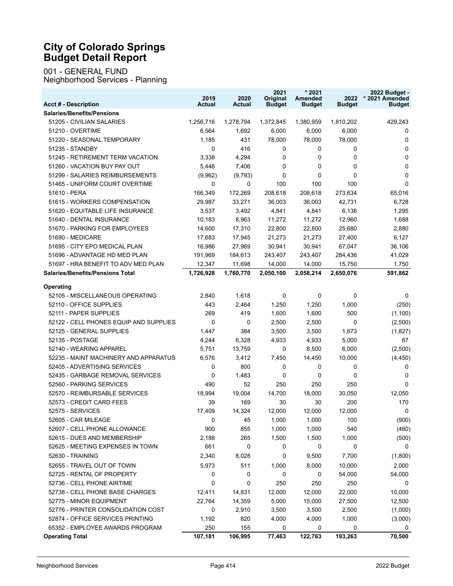001 - GENERAL FUND Neighborhood Services - Planning

| <b>Acct # - Description</b>                                | 2019<br>Actual | 2020<br><b>Actual</b> | 2021<br>Original<br><b>Budget</b> | * 2021<br>Amended<br><b>Budget</b> | 2022<br><b>Budget</b> | 2022 Budget -<br>* 2021 Amended<br><b>Budget</b> |
|------------------------------------------------------------|----------------|-----------------------|-----------------------------------|------------------------------------|-----------------------|--------------------------------------------------|
| <b>Salaries/Benefits/Pensions</b>                          |                |                       |                                   |                                    |                       |                                                  |
| 51205 - CIVILIAN SALARIES                                  | 1,256,716      | 1,278,794             | 1,372,845                         | 1,380,959                          | 1,810,202             | 429,243                                          |
| <b>51210 - OVERTIME</b>                                    | 6,564          | 1,692                 | 6,000                             | 6,000                              | 6,000                 | 0                                                |
| 51220 - SEASONAL TEMPORARY                                 | 1,185          | 431                   | 78,000                            | 78,000                             | 78,000                | 0                                                |
| 51235 - STANDBY                                            | 0              | 416                   | 0                                 | 0                                  | 0                     | $\Omega$                                         |
| 51245 - RETIREMENT TERM VACATION                           | 3,338          | 4,294                 | 0                                 | 0                                  | 0                     | $\Omega$                                         |
| 51260 - VACATION BUY PAY OUT                               | 5,446          | 7,406                 | 0                                 | 0                                  | $\mathbf{0}$          | $\Omega$                                         |
| 51299 - SALARIES REIMBURSEMENTS                            | (9,962)        | (9,793)               | $\Omega$                          | 0                                  | 0                     | $\Omega$                                         |
| 51465 - UNIFORM COURT OVERTIME                             | 0              | 0                     | 100                               | 100                                | 100                   | $\Omega$                                         |
| 51610 - PERA                                               | 166,349        | 172,269               | 208,618                           | 208,618                            | 273,634               | 65,016                                           |
| 51615 - WORKERS COMPENSATION                               | 29,987         | 33,271                | 36,003                            | 36,003                             | 42,731                | 6,728                                            |
| 51620 - EQUITABLE LIFE INSURANCE                           | 3,537          | 3,492                 | 4,841                             | 4,841                              | 6,136                 | 1,295                                            |
| 51640 - DENTAL INSURANCE                                   | 10,183         | 8,963                 | 11,272                            | 11,272                             | 12,960                | 1,688                                            |
| 51670 - PARKING FOR EMPLOYEES                              | 14,600         | 17,310                | 22,800                            | 22,800                             | 25,680                | 2,880                                            |
| 51690 - MEDICARE                                           | 17,683         | 17,945                | 21,273                            | 21,273                             | 27,400                | 6,127                                            |
| 51695 - CITY EPO MEDICAL PLAN                              | 16,986         | 27,969                | 30,941                            | 30,941                             | 67,047                | 36,106                                           |
| 51696 - ADVANTAGE HD MED PLAN                              | 191,969        | 184,613               | 243,407                           | 243,407                            | 284,436               | 41,029                                           |
| 51697 - HRA BENEFIT TO ADV MED PLAN                        | 12,347         | 11,698                | 14,000                            | 14,000                             | 15,750                | 1,750                                            |
| <b>Salaries/Benefits/Pensions Total</b>                    | 1,726,928      | 1,760,770             | 2,050,100                         | 2,058,214                          | 2,650,076             | 591,862                                          |
|                                                            |                |                       |                                   |                                    |                       |                                                  |
| Operating                                                  |                |                       |                                   |                                    |                       |                                                  |
| 52105 - MISCELLANEOUS OPERATING<br>52110 - OFFICE SUPPLIES | 2,840<br>443   | 1,618                 | 0                                 | 0                                  | 0                     | 0                                                |
| 52111 - PAPER SUPPLIES                                     | 269            | 2,464<br>419          | 1,250<br>1,600                    | 1,250<br>1,600                     | 1,000<br>500          | (250)                                            |
| 52122 - CELL PHONES EQUIP AND SUPPLIES                     | 0              | 0                     | 2,500                             | 2,500                              | 0                     | (1, 100)                                         |
| 52125 - GENERAL SUPPLIES                                   |                | 384                   | 3,500                             |                                    | 1,673                 | (2,500)                                          |
| 52135 - POSTAGE                                            | 1,447          | 6,328                 | 4,933                             | 3,500                              | 5,000                 | (1,827)<br>67                                    |
| 52140 - WEARING APPAREL                                    | 4,244<br>5,751 | 13,759                | 0                                 | 4,933<br>8,500                     | 6,000                 | (2,500)                                          |
| 52235 - MAINT MACHINERY AND APPARATUS                      | 6,576          | 3,412                 | 7,450                             | 14,450                             | 10,000                | (4, 450)                                         |
| 52405 - ADVERTISING SERVICES                               | 0              | 800                   | 0                                 | 0                                  | 0                     | 0                                                |
| 52435 - GARBAGE REMOVAL SERVICES                           | 0              | 1,483                 | 0                                 | 0                                  | 0                     | 0                                                |
| 52560 - PARKING SERVICES                                   | 490            | 52                    | 250                               | 250                                | 250                   | $\Omega$                                         |
| 52570 - REIMBURSABLE SERVICES                              | 18,994         | 19.004                | 14,700                            | 18,000                             | 30,050                | 12,050                                           |
| 52573 - CREDIT CARD FEES                                   | 39             | 169                   | 30                                | 30                                 | 200                   | 170                                              |
| 52575 - SERVICES                                           | 17,409         | 14,324                | 12,000                            | 12,000                             | 12,000                | 0                                                |
| 52605 - CAR MILEAGE                                        | 0              | 45                    | 1,000                             | 1,000                              | 100                   | (900)                                            |
| 52607 - CELL PHONE ALLOWANCE                               | 900            | 855                   | 1,000                             | 1,000                              | 540                   | (460)                                            |
| 52615 - DUES AND MEMBERSHIP                                | 2,188          | 265                   | 1,500                             | 1,500                              | 1,000                 | (500)                                            |
| 52625 - MEETING EXPENSES IN TOWN                           | 661            | 0                     | 0                                 | 0                                  | 0                     | 0                                                |
| 52630 - TRAINING                                           | 2,340          | 8,028                 | 0                                 | 9,500                              | 7,700                 | (1,800)                                          |
| 52655 - TRAVEL OUT OF TOWN                                 | 5,973          | 511                   | 1,000                             | 8,000                              | 10,000                | 2,000                                            |
| 52725 - RENTAL OF PROPERTY                                 | 0              | 0                     | 0                                 | 0                                  | 54,000                | 54,000                                           |
| 52736 - CELL PHONE AIRTIME                                 | 0              | 0                     | 250                               | 250                                | 250                   | 0                                                |
| 52738 - CELL PHONE BASE CHARGES                            | 12,411         | 14,831                | 12,000                            | 12,000                             | 22,000                | 10,000                                           |
| 52775 - MINOR EQUIPMENT                                    | 22,764         | 14,359                | 5,000                             | 15,000                             | 27,500                | 12,500                                           |
| 52776 - PRINTER CONSOLIDATION COST                         | 0              | 2,910                 | 3,500                             | 3,500                              | 2,500                 | (1,000)                                          |
| 52874 - OFFICE SERVICES PRINTING                           | 1,192          | 820                   | 4,000                             | 4,000                              | 1,000                 | (3,000)                                          |
| 65352 - EMPLOYEE AWARDS PROGRAM                            | 250            | 155                   | 0                                 | 0                                  | 0                     | 0                                                |
| <b>Operating Total</b>                                     | 107,181        | 106,995               | 77,463                            | 122,763                            | 193,263               | 70,500                                           |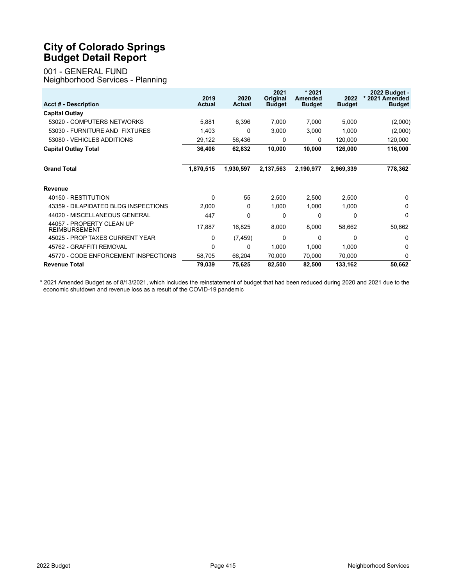## 001 - GENERAL FUND Neighborhood Services - Planning

| <b>Acct # - Description</b>                       | 2019<br><b>Actual</b> | 2020<br><b>Actual</b> | 2021<br>Original<br><b>Budget</b> | * 2021<br>Amended<br><b>Budget</b> | 2022<br><b>Budget</b> | 2022 Budget -<br>* 2021 Amended<br><b>Budget</b> |
|---------------------------------------------------|-----------------------|-----------------------|-----------------------------------|------------------------------------|-----------------------|--------------------------------------------------|
| <b>Capital Outlay</b>                             |                       |                       |                                   |                                    |                       |                                                  |
| 53020 - COMPUTERS NETWORKS                        | 5,881                 | 6,396                 | 7,000                             | 7,000                              | 5,000                 | (2,000)                                          |
| 53030 - FURNITURE AND FIXTURES                    |                       |                       |                                   |                                    |                       |                                                  |
|                                                   | 1,403                 | 0                     | 3,000                             | 3,000                              | 1,000                 | (2,000)                                          |
| 53080 - VEHICLES ADDITIONS                        | 29,122                | 56,436                | 0                                 | 0                                  | 120,000               | 120,000                                          |
| <b>Capital Outlay Total</b>                       | 36,406                | 62,832                | 10,000                            | 10,000                             | 126,000               | 116,000                                          |
| <b>Grand Total</b>                                | 1,870,515             | 1,930,597             | 2,137,563                         | 2,190,977                          | 2,969,339             | 778,362                                          |
| Revenue                                           |                       |                       |                                   |                                    |                       |                                                  |
| 40150 - RESTITUTION                               | $\Omega$              | 55                    | 2,500                             | 2,500                              | 2,500                 | 0                                                |
| 43359 - DILAPIDATED BLDG INSPECTIONS              | 2,000                 | 0                     | 1,000                             | 1,000                              | 1,000                 | 0                                                |
| 44020 - MISCELLANEOUS GENERAL                     | 447                   | $\Omega$              | 0                                 | 0                                  | $\Omega$              | $\Omega$                                         |
| 44057 - PROPERTY CLEAN UP<br><b>REIMBURSEMENT</b> | 17,887                | 16,825                | 8,000                             | 8,000                              | 58,662                | 50,662                                           |
| 45025 - PROP TAXES CURRENT YEAR                   | 0                     | (7, 459)              | 0                                 | 0                                  | $\mathbf{0}$          | 0                                                |
| 45762 - GRAFFITI REMOVAL                          | $\Omega$              | 0                     | 1,000                             | 1,000                              | 1,000                 | $\Omega$                                         |
| 45770 - CODE ENFORCEMENT INSPECTIONS              | 58,705                | 66,204                | 70,000                            | 70,000                             | 70,000                | $\Omega$                                         |
| <b>Revenue Total</b>                              | 79,039                | 75,625                | 82,500                            | 82,500                             | 133,162               | 50,662                                           |